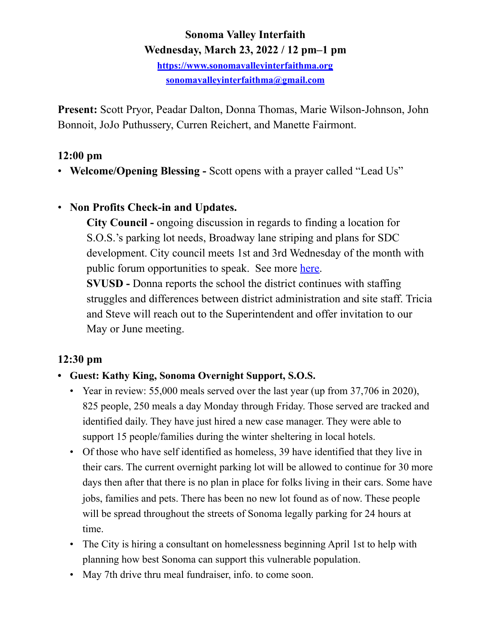## **Sonoma Valley Interfaith Wednesday, March 23, 2022 / 12 pm–1 pm**

**<https://www.sonomavalleyinterfaithma.org> [sonomavalleyinterfaithma@gmail.com](mailto:sonomavalleyinterfaithma@gmail.com)**

**Present:** Scott Pryor, Peadar Dalton, Donna Thomas, Marie Wilson-Johnson, John Bonnoit, JoJo Puthussery, Curren Reichert, and Manette Fairmont.

### **12:00 pm**

• **Welcome/Opening Blessing -** Scott opens with a prayer called "Lead Us"

## • **Non Profits Check-in and Updates.**

**City Council -** ongoing discussion in regards to finding a location for S.O.S.'s parking lot needs, Broadway lane striping and plans for SDC development. City council meets 1st and 3rd Wednesday of the month with public forum opportunities to speak. See more [here](https://www.sonomacity.org/sonoma-city-council-selects-jack-ding-as-mayor-kelso-barnett-as-vice-mayor/). **SVUSD -** Donna reports the school the district continues with staffing struggles and differences between district administration and site staff. Tricia

 and Steve will reach out to the Superintendent and offer invitation to our May or June meeting.

# **12:30 pm**

## **• Guest: Kathy King, Sonoma Overnight Support, S.O.S.**

- Year in review: 55,000 meals served over the last year (up from 37,706 in 2020), 825 people, 250 meals a day Monday through Friday. Those served are tracked and identified daily. They have just hired a new case manager. They were able to support 15 people/families during the winter sheltering in local hotels.
- Of those who have self identified as homeless, 39 have identified that they live in their cars. The current overnight parking lot will be allowed to continue for 30 more days then after that there is no plan in place for folks living in their cars. Some have jobs, families and pets. There has been no new lot found as of now. These people will be spread throughout the streets of Sonoma legally parking for 24 hours at time.
- The City is hiring a consultant on homelessness beginning April 1st to help with planning how best Sonoma can support this vulnerable population.
- May 7th drive thru meal fundraiser, info. to come soon.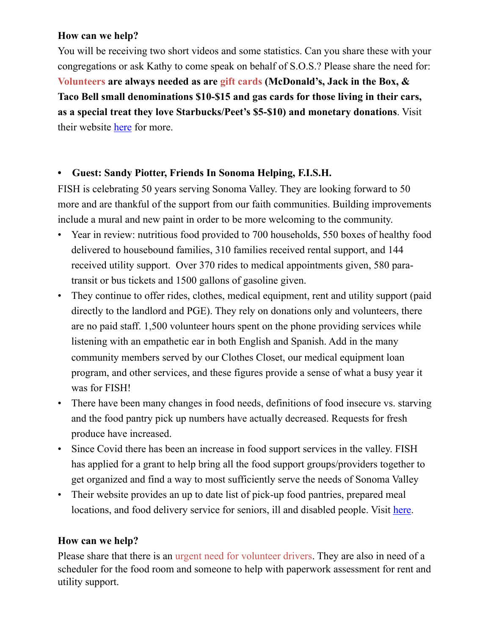#### **How can we help?**

You will be receiving two short videos and some statistics. Can you share these with your congregations or ask Kathy to come speak on behalf of S.O.S.? Please share the need for: **Volunteers are always needed as are gift cards (McDonald's, Jack in the Box, & Taco Bell small denominations \$10-\$15 and gas cards for those living in their cars, as a special treat they love Starbucks/Peet's \$5-\$10) and monetary donations**. Visit their website [here](https://www.sonomaovernightsupport.org/) for more.

#### **• Guest: Sandy Piotter, Friends In Sonoma Helping, F.I.S.H.**

FISH is celebrating 50 years serving Sonoma Valley. They are looking forward to 50 more and are thankful of the support from our faith communities. Building improvements include a mural and new paint in order to be more welcoming to the community.

- Year in review: nutritious food provided to 700 households, 550 boxes of healthy food delivered to housebound families, 310 families received rental support, and 144 received utility support. Over 370 rides to medical appointments given, 580 paratransit or bus tickets and 1500 gallons of gasoline given.
- They continue to offer rides, clothes, medical equipment, rent and utility support (paid directly to the landlord and PGE). They rely on donations only and volunteers, there are no paid staff. 1,500 volunteer hours spent on the phone providing services while listening with an empathetic ear in both English and Spanish. Add in the many community members served by our Clothes Closet, our medical equipment loan program, and other services, and these figures provide a sense of what a busy year it was for FISH!
- There have been many changes in food needs, definitions of food insecure vs. starving and the food pantry pick up numbers have actually decreased. Requests for fresh produce have increased.
- Since Covid there has been an increase in food support services in the valley. FISH has applied for a grant to help bring all the food support groups/providers together to get organized and find a way to most sufficiently serve the needs of Sonoma Valley
- Their website provides an up to date list of pick-up food pantries, prepared meal locations, and food delivery service for seniors, ill and disabled people. Visit [here](https://www.friendsinsonomahelping.org/pantries.html).

### **How can we help?**

Please share that there is an urgent need for volunteer drivers. They are also in need of a scheduler for the food room and someone to help with paperwork assessment for rent and utility support.